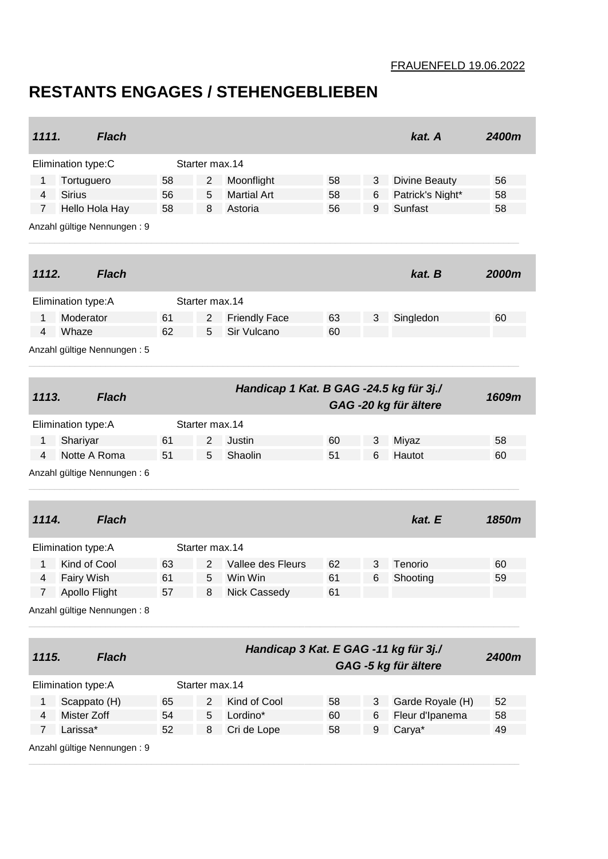## FRAUENFELD 19.06.2022

## **RESTANTS ENGAGES / STEHENGEBLIEBEN**

٠

| 1111.                                   |                             | <b>Flach</b>                |                |                    |                                       |          |                      | kat. A                | 2400m    |  |
|-----------------------------------------|-----------------------------|-----------------------------|----------------|--------------------|---------------------------------------|----------|----------------------|-----------------------|----------|--|
| Elimination type:C                      |                             | Starter max.14              |                |                    |                                       |          |                      |                       |          |  |
| Tortuguero<br>1                         |                             | 58                          | 2              | Moonflight         | 58                                    | 3        | <b>Divine Beauty</b> | 56                    |          |  |
| <b>Sirius</b><br>4                      |                             | 56                          | 5              | <b>Martial Art</b> | 58                                    | 6        | Patrick's Night*     | 58                    |          |  |
| $\overline{7}$                          |                             | Hello Hola Hay              | 58             | 8                  | Astoria                               | 56       | 9                    | Sunfast               | 58       |  |
|                                         |                             | Anzahl gültige Nennungen: 9 |                |                    |                                       |          |                      |                       |          |  |
| 1112.                                   |                             | <b>Flach</b>                |                |                    |                                       |          |                      | kat. B                | 2000m    |  |
| Elimination type: A                     |                             |                             | Starter max.14 |                    |                                       |          |                      |                       |          |  |
| 1                                       | Moderator                   |                             | 61             | 2                  | <b>Friendly Face</b>                  | 63       | 3                    | Singledon             | 60       |  |
| 4                                       | Whaze                       |                             | 62             | 5                  | Sir Vulcano                           | 60       |                      |                       |          |  |
|                                         | Anzahl gültige Nennungen: 5 |                             |                |                    |                                       |          |                      |                       |          |  |
| Handicap 1 Kat. B GAG -24.5 kg für 3j./ |                             |                             |                |                    |                                       |          |                      |                       |          |  |
| 1113.                                   |                             | <b>Flach</b>                |                |                    |                                       |          |                      | GAG -20 kg für ältere | 1609m    |  |
|                                         | Elimination type: A         |                             |                | Starter max.14     |                                       |          |                      |                       |          |  |
| $\mathbf{1}$                            | Shariyar                    |                             | 61             | $\overline{2}$     | Justin                                | 60       | 3                    | Miyaz                 | 58       |  |
| 4                                       | Notte A Roma                |                             | 51             | 5                  | Shaolin                               | 51       | 6                    | Hautot                | 60       |  |
| Anzahl gültige Nennungen: 6             |                             |                             |                |                    |                                       |          |                      |                       |          |  |
| 1114.                                   |                             | <b>Flach</b>                |                |                    |                                       |          |                      | kat. E                | 1850m    |  |
|                                         |                             |                             |                |                    |                                       |          |                      |                       |          |  |
|                                         | Elimination type: A         |                             |                | Starter max.14     |                                       |          |                      |                       |          |  |
| 1<br>4                                  | Kind of Cool<br>Fairy Wish  |                             | 63<br>61       | 2<br>5             | Vallee des Fleurs<br>Win Win          | 62<br>61 | 3<br>6               | Tenorio<br>Shooting   | 60<br>59 |  |
| $7 -$                                   | Apollo Flight               |                             | 57             | 8                  | Nick Cassedy                          | 61       |                      |                       |          |  |
|                                         |                             | Anzahl gültige Nennungen: 8 |                |                    |                                       |          |                      |                       |          |  |
|                                         |                             |                             |                |                    |                                       |          |                      |                       |          |  |
| 1115.                                   |                             | <b>Flach</b>                |                |                    | Handicap 3 Kat. E GAG -11 kg für 3j./ |          |                      |                       | 2400m    |  |
|                                         |                             |                             |                |                    |                                       |          |                      | GAG -5 kg für ältere  |          |  |
|                                         | Elimination type: A         |                             | Starter max.14 |                    |                                       |          |                      |                       |          |  |
| 1                                       | Scappato (H)                |                             | 65             | 2                  | Kind of Cool                          | 58       | 3                    | Garde Royale (H)      | 52       |  |
| 4                                       | Mister Zoff                 |                             | 54             | 5                  | Lordino*                              | 60       | 6                    | Fleur d'Ipanema       | 58       |  |
| $\overline{7}$                          | Larissa*                    |                             | 52             | 8                  | Cri de Lope                           | 58       | 9                    | Carya*                | 49       |  |
| Anzahl gültige Nennungen: 9             |                             |                             |                |                    |                                       |          |                      |                       |          |  |